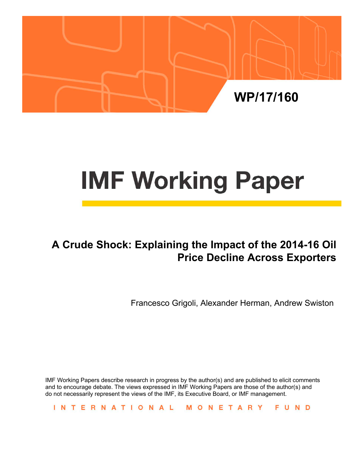

# **IMF Working Paper**

# **A Crude Shock: Explaining the Impact of the 2014-16 Oil Price Decline Across Exporters**

Francesco Grigoli, Alexander Herman, Andrew Swiston

IMF Working Papers describe research in progress by the author(s) and are published to elicit comments and to encourage debate. The views expressed in IMF Working Papers are those of the author(s) and do not necessarily represent the views of the IMF, its Executive Board, or IMF management.

INTERNATIONAL MONETARY FUND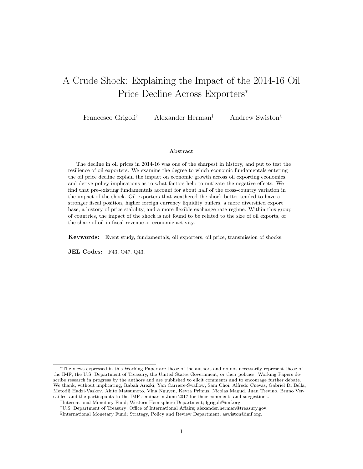# <span id="page-1-0"></span>A Crude Shock: Explaining the Impact of the 2014-16 Oil Price Decline Across Exporters<sup>∗</sup>

Francesco Grigoli<sup>†</sup> Alexander Herman<sup>‡</sup> Andrew Swiston<sup>§</sup>

#### Abstract

The decline in oil prices in 2014-16 was one of the sharpest in history, and put to test the resilience of oil exporters. We examine the degree to which economic fundamentals entering the oil price decline explain the impact on economic growth across oil exporting economies, and derive policy implications as to what factors help to mitigate the negative effects. We find that pre-existing fundamentals account for about half of the cross-country variation in the impact of the shock. Oil exporters that weathered the shock better tended to have a stronger fiscal position, higher foreign currency liquidity buffers, a more diversified export base, a history of price stability, and a more flexible exchange rate regime. Within this group of countries, the impact of the shock is not found to be related to the size of oil exports, or the share of oil in fiscal revenue or economic activity.

Keywords: Event study, fundamentals, oil exporters, oil price, transmission of shocks.

JEL Codes: F43, O47, Q43.

<sup>∗</sup>The views expressed in this Working Paper are those of the authors and do not necessarily represent those of the IMF, the U.S. Department of Treasury, the United States Government, or their policies. Working Papers describe research in progress by the authors and are published to elicit comments and to encourage further debate. We thank, without implicating, Rabah Arezki, Yan Carriere-Swallow, Sam Choi, Alfredo Cuevas, Gabriel Di Bella, Metodij Hadzi-Vaskov, Akito Matsumoto, Vina Nguyen, Keyra Primus, Nicolas Magud, Juan Trevino, Bruno Versailles, and the participants to the IMF seminar in June 2017 for their comments and suggestions.

<sup>†</sup> International Monetary Fund; Western Hemisphere Department; fgrigoli@imf.org.

<sup>‡</sup>U.S. Department of Treasury; Office of International Affairs; alexander.herman@treasury.gov.

<sup>§</sup> International Monetary Fund; Strategy, Policy and Review Department; aswiston@imf.org.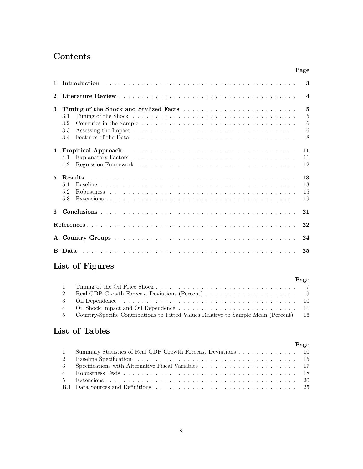# Contents

|                |            | Page                 |
|----------------|------------|----------------------|
| 1              |            | 3                    |
| $\mathbf 2$    |            | $\boldsymbol{4}$     |
| 3              |            | $\overline{5}$       |
|                | 3.1<br>3.2 | 5<br>6               |
|                | 3.3<br>3.4 | $6\phantom{.}6$<br>8 |
|                |            |                      |
| $\overline{4}$ |            | 11<br>11             |
|                | 4.1<br>4.2 | 12                   |
| 5              |            | 13                   |
|                | 5.1        | 13                   |
|                | 5.2<br>5.3 | 15<br>19             |
| 6              |            | 21                   |
|                |            | 22                   |
|                |            | 24                   |
|                |            | 25                   |

# List of Figures

|          |                                                                                        | Page |
|----------|----------------------------------------------------------------------------------------|------|
| $\sim$ 1 |                                                                                        |      |
|          |                                                                                        |      |
|          |                                                                                        |      |
|          |                                                                                        |      |
|          | 5 Country-Specific Contributions to Fitted Values Relative to Sample Mean (Percent) 16 |      |

# List of Tables

|                |                                                                | Page |
|----------------|----------------------------------------------------------------|------|
|                | 1 Summary Statistics of Real GDP Growth Forecast Deviations 10 |      |
| $\overline{2}$ |                                                                |      |
|                |                                                                |      |
|                |                                                                |      |
| $5 -$          |                                                                |      |
|                |                                                                |      |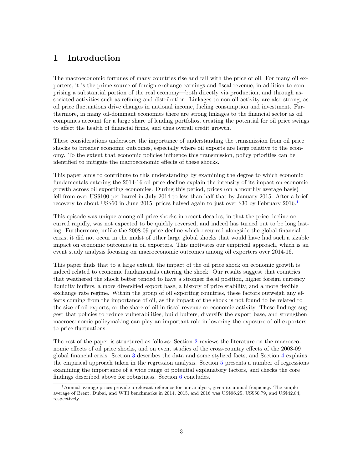# <span id="page-3-0"></span>1 Introduction

The macroeconomic fortunes of many countries rise and fall with the price of oil. For many oil exporters, it is the prime source of foreign exchange earnings and fiscal revenue, in addition to comprising a substantial portion of the real economy—both directly via production, and through associated activities such as refining and distribution. Linkages to non-oil activity are also strong, as oil price fluctuations drive changes in national income, fueling consumption and investment. Furthermore, in many oil-dominant economies there are strong linkages to the financial sector as oil companies account for a large share of lending portfolios, creating the potential for oil price swings to affect the health of financial firms, and thus overall credit growth.

These considerations underscore the importance of understanding the transmission from oil price shocks to broader economic outcomes, especially where oil exports are large relative to the economy. To the extent that economic policies influence this transmission, policy priorities can be identified to mitigate the macroeconomic effects of these shocks.

This paper aims to contribute to this understanding by examining the degree to which economic fundamentals entering the 2014-16 oil price decline explain the intensity of its impact on economic growth across oil exporting economies. During this period, prices (on a monthly average basis) fell from over US\$100 per barrel in July 2014 to less than half that by January 2015. After a brief recovery to about US\$60 in June 20[1](#page-1-0)5, prices halved again to just over \$30 by February 2016.<sup>1</sup>

This episode was unique among oil price shocks in recent decades, in that the price decline occurred rapidly, was not expected to be quickly reversed, and indeed has turned out to be long lasting. Furthermore, unlike the 2008-09 price decline which occurred alongside the global financial crisis, it did not occur in the midst of other large global shocks that would have had such a sizable impact on economic outcomes in oil exporters. This motivates our empirical approach, which is an event study analysis focusing on macroeconomic outcomes among oil exporters over 2014-16.

This paper finds that to a large extent, the impact of the oil price shock on economic growth is indeed related to economic fundamentals entering the shock. Our results suggest that countries that weathered the shock better tended to have a stronger fiscal position, higher foreign currency liquidity buffers, a more diversified export base, a history of price stability, and a more flexible exchange rate regime. Within the group of oil exporting countries, these factors outweigh any effects coming from the importance of oil, as the impact of the shock is not found to be related to the size of oil exports, or the share of oil in fiscal revenue or economic activity. These findings suggest that policies to reduce vulnerabilities, build buffers, diversify the export base, and strengthen macroeconomic policymaking can play an important role in lowering the exposure of oil exporters to price fluctuations.

The rest of the paper is structured as follows: Section [2](#page-3-1) reviews the literature on the macroeconomic effects of oil price shocks, and on event studies of the cross-country effects of the 2008-09 global financial crisis. Section [3](#page-5-0) describes the data and some stylized facts, and Section [4](#page-10-0) explains the empirical approach taken in the regression analysis. Section [5](#page-13-0) presents a number of regressions examining the importance of a wide range of potential explanatory factors, and checks the core findings described above for robustness. Section [6](#page-21-0) concludes.

<span id="page-3-1"></span><sup>1</sup>Annual average prices provide a relevant reference for our analysis, given its annual frequency. The simple average of Brent, Dubai, and WTI benchmarks in 2014, 2015, and 2016 was US\$96.25, US\$50.79, and US\$42.84, respectively.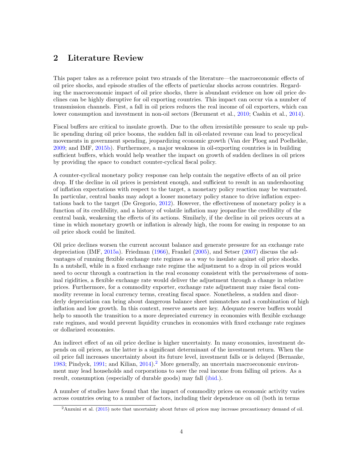# 2 Literature Review

This paper takes as a reference point two strands of the literature—the macroeconomic effects of oil price shocks, and episode studies of the effects of particular shocks across countries. Regarding the macroeconomic impact of oil price shocks, there is abundant evidence on how oil price declines can be highly disruptive for oil exporting countries. This impact can occur via a number of transmission channels. First, a fall in oil prices reduces the real income of oil exporters, which can lower consumption and investment in non-oil sectors (Berument et al., [2010;](#page-22-0) Cashin et al., [2014\)](#page-22-1).

Fiscal buffers are critical to insulate growth. Due to the often irresistible pressure to scale up public spending during oil price booms, the sudden fall in oil-related revenue can lead to procyclical movements in government spending, jeopardizing economic growth (Van der Ploeg and Poelhekke, [2009;](#page-23-0) and IMF, [2015b\)](#page-22-2). Furthermore, a major weakness in oil-exporting countries is in building sufficient buffers, which would help weather the impact on growth of sudden declines in oil prices by providing the space to conduct counter-cyclical fiscal policy.

A counter-cyclical monetary policy response can help contain the negative effects of an oil price drop. If the decline in oil prices is persistent enough, and sufficient to result in an undershooting of inflation expectations with respect to the target, a monetary policy reaction may be warranted. In particular, central banks may adopt a looser monetary policy stance to drive inflation expectations back to the target (De Gregorio, [2012\)](#page-22-3). However, the effectiveness of monetary policy is a function of its credibility, and a history of volatile inflation may jeopardize the credibility of the central bank, weakening the effects of its actions. Similarly, if the decline in oil prices occurs at a time in which monetary growth or inflation is already high, the room for easing in response to an oil price shock could be limited.

Oil price declines worsen the current account balance and generate pressure for an exchange rate depreciation (IMF, [2015a\)](#page-22-4). Friedman [\(1966\)](#page-22-5), Frankel [\(2005\)](#page-22-6), and Setser [\(2007\)](#page-23-1) discuss the advantages of running flexible exchange rate regimes as a way to insulate against oil price shocks. In a nutshell, while in a fixed exchange rate regime the adjustment to a drop in oil prices would need to occur through a contraction in the real economy consistent with the pervasiveness of nominal rigidities, a flexible exchange rate would deliver the adjustment through a change in relative prices. Furthermore, for a commodity exporter, exchange rate adjustment may raise fiscal commodity revenue in local currency terms, creating fiscal space. Nonetheless, a sudden and disorderly depreciation can bring about dangerous balance sheet mismatches and a combination of high inflation and low growth. In this context, reserve assets are key. Adequate reserve buffers would help to smooth the transition to a more depreciated currency in economies with flexible exchange rate regimes, and would prevent liquidity crunches in economies with fixed exchange rate regimes or dollarized economies.

An indirect effect of an oil price decline is higher uncertainty. In many economies, investment depends on oil prices, as the latter is a significant determinant of the investment return. When the oil price fall increases uncertainty about its future level, investment falls or is delayed (Bernanke, [1983;](#page-22-7) Pindyck,  $1991$ ; and Kilian,  $2014$  $2014$ ).<sup>2</sup> More generally, an uncertain macroeconomic environment may lead households and corporations to save the real income from falling oil prices. As a result, consumption (especially of durable goods) may fall [\(ibid.\)](#page-22-8).

A number of studies have found that the impact of commodity prices on economic activity varies across countries owing to a number of factors, including their dependence on oil (both in terms

<sup>2</sup>Anzuini et al. [\(2015\)](#page-22-9) note that uncertainty about future oil prices may increase precautionary demand of oil.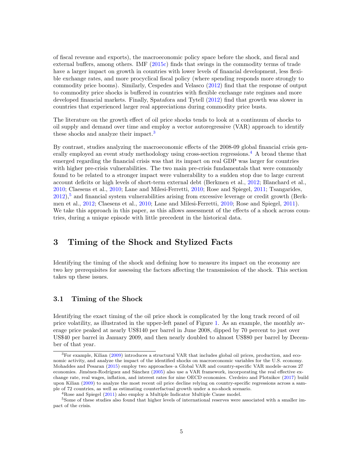of fiscal revenue and exports), the macroeconomic policy space before the shock, and fiscal and external buffers, among others. IMF [\(2015c\)](#page-22-10) finds that swings in the commodity terms of trade have a larger impact on growth in countries with lower levels of financial development, less flexible exchange rates, and more procyclical fiscal policy (where spending responds more strongly to commodity price booms). Similarly, Cespedes and Velasco [\(2012\)](#page-22-11) find that the response of output to commodity price shocks is buffered in countries with flexible exchange rate regimes and more developed financial markets. Finally, Spatafora and Tytell [\(2012\)](#page-23-3) find that growth was slower in countries that experienced larger real appreciations during commodity price busts.

The literature on the growth effect of oil price shocks tends to look at a continuum of shocks to oil supply and demand over time and employ a vector autoregressive (VAR) approach to identify these shocks and analyze their impact.[3](#page-1-0)

By contrast, studies analyzing the macroeconomic effects of the 2008-09 global financial crisis gen-erally employed an event study methodology using cross-section regressions.<sup>[4](#page-1-0)</sup> A broad theme that emerged regarding the financial crisis was that its impact on real GDP was larger for countries with higher pre-crisis vulnerabilities. The two main pre-crisis fundamentals that were commonly found to be related to a stronger impact were vulnerability to a sudden stop due to large current account deficits or high levels of short-term external debt (Berkmen et al., [2012;](#page-22-12) Blanchard et al., [2010;](#page-22-13) Claesens et al., [2010;](#page-22-14) Lane and Milesi-Ferretti, [2010;](#page-22-15) Rose and Spiegel, [2011;](#page-23-4) Tsangarides,  $2012$ ),<sup>[5](#page-1-0)</sup> and financial system vulnerabilities arising from excessive leverage or credit growth (Berkmen et al., [2012;](#page-22-12) Claesens et al., [2010;](#page-22-14) Lane and Milesi-Ferretti, [2010;](#page-22-15) Rose and Spiegel, [2011\)](#page-23-4). We take this approach in this paper, as this allows assessment of the effects of a shock across countries, during a unique episode with little precedent in the historical data.

# <span id="page-5-0"></span>3 Timing of the Shock and Stylized Facts

Identifying the timing of the shock and defining how to measure its impact on the economy are two key prerequisites for assessing the factors affecting the transmission of the shock. This section takes up these issues.

### <span id="page-5-1"></span>3.1 Timing of the Shock

Identifying the exact timing of the oil price shock is complicated by the long track record of oil price volatility, as illustrated in the upper-left panel of Figure [1.](#page-7-0) As an example, the monthly average price peaked at nearly US\$140 per barrel in June 2008, dipped by 70 percent to just over US\$40 per barrel in January 2009, and then nearly doubled to almost US\$80 per barrel by December of that year.

 ${}^{3}$  For example, Kilian [\(2009\)](#page-22-16) introduces a structural VAR that includes global oil prices, production, and economic activity, and analyze the impact of the identified shocks on macroeconomic variables for the U.S. economy. Mohaddes and Pesaran [\(2015\)](#page-22-17) employ two approaches–a Global VAR and country-specific VAR models–across 27 economies. Jiménez-Rodríguez and Sánchez [\(2005\)](#page-22-18) also use a VAR framework, incorporating the real effective exchange rate, real wages, inflation, and interest rates for nine OECD economies. Cerdeiro and Plotnikov [\(2017\)](#page-22-19) build upon Kilian [\(2009\)](#page-22-16) to analyze the most recent oil price decline relying on country-specific regressions across a sample of 72 countries, as well as estimating counterfactual growth under a no-shock scenario.

 $4R$ ose and Spiegel [\(2011\)](#page-23-4) also employ a Multiple Indicator Multiple Cause model.

<sup>&</sup>lt;sup>5</sup>Some of these studies also found that higher levels of international reserves were associated with a smaller impact of the crisis.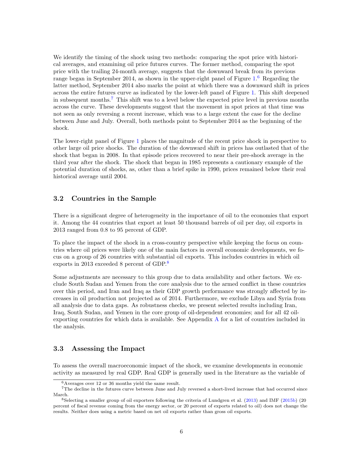We identify the timing of the shock using two methods: comparing the spot price with historical averages, and examining oil price futures curves. The former method, comparing the spot price with the trailing 24-month average, suggests that the downward break from its previous range began in September 2014, as shown in the upper-right panel of Figure [1.](#page-7-0)<sup>[6](#page-1-0)</sup> Regarding the latter method, September 2014 also marks the point at which there was a downward shift in prices across the entire futures curve as indicated by the lower-left panel of Figure [1.](#page-7-0) This shift deepened in subsequent months.[7](#page-1-0) This shift was to a level below the expected price level in previous months across the curve. These developments suggest that the movement in spot prices at that time was not seen as only reversing a recent increase, which was to a large extent the case for the decline between June and July. Overall, both methods point to September 2014 as the beginning of the shock.

The lower-right panel of Figure [1](#page-7-0) places the magnitude of the recent price shock in perspective to other large oil price shocks. The duration of the downward shift in prices has outlasted that of the shock that began in 2008. In that episode prices recovered to near their pre-shock average in the third year after the shock. The shock that began in 1985 represents a cautionary example of the potential duration of shocks, as, other than a brief spike in 1990, prices remained below their real historical average until 2004.

### <span id="page-6-0"></span>3.2 Countries in the Sample

There is a significant degree of heterogeneity in the importance of oil to the economies that export it. Among the 44 countries that export at least 50 thousand barrels of oil per day, oil exports in 2013 ranged from 0.8 to 95 percent of GDP.

To place the impact of the shock in a cross-country perspective while keeping the focus on countries where oil prices were likely one of the main factors in overall economic developments, we focus on a group of 26 countries with substantial oil exports. This includes countries in which oil exports in 2013 exceeded 8 percent of GDP.[8](#page-1-0)

Some adjustments are necessary to this group due to data availability and other factors. We exclude South Sudan and Yemen from the core analysis due to the armed conflict in these countries over this period, and Iran and Iraq as their GDP growth performance was strongly affected by increases in oil production not projected as of 2014. Furthermore, we exclude Libya and Syria from all analysis due to data gaps. As robustness checks, we present selected results including Iran, Iraq, South Sudan, and Yemen in the core group of oil-dependent economies; and for all 42 oilexporting countries for which data is available. See Appendix [A](#page-24-0) for a list of countries included in the analysis.

#### <span id="page-6-1"></span>3.3 Assessing the Impact

To assess the overall macroeconomic impact of the shock, we examine developments in economic activity as measured by real GDP. Real GDP is generally used in the literature as the variable of

<sup>6</sup>Averages over 12 or 36 months yield the same result.

<sup>&</sup>lt;sup>7</sup>The decline in the futures curve between June and July reversed a short-lived increase that had occurred since March.

<sup>&</sup>lt;sup>8</sup>Selecting a smaller group of oil exporters following the criteria of Lundgren et al.  $(2013)$  and IMF  $(2015b)$   $(20$ percent of fiscal revenue coming from the energy sector, or 20 percent of exports related to oil) does not change the results. Neither does using a metric based on net oil exports rather than gross oil exports.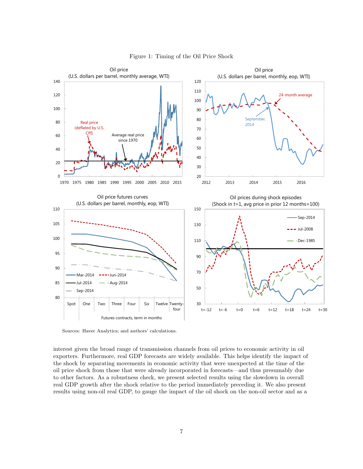<span id="page-7-0"></span>

Figure 1: Timing of the Oil Price Shock

Sources: Haver Analytics; and authors' calculations.

interest given the broad range of transmission channels from oil prices to economic activity in oil exporters. Furthermore, real GDP forecasts are widely available. This helps identify the impact of the shock by separating movements in economic activity that were unexpected at the time of the oil price shock from those that were already incorporated in forecasts—and thus presumably due to other factors. As a robustness check, we present selected results using the slowdown in overall real GDP growth after the shock relative to the period immediately preceding it. We also present results using non-oil real GDP, to gauge the impact of the oil shock on the non-oil sector and as a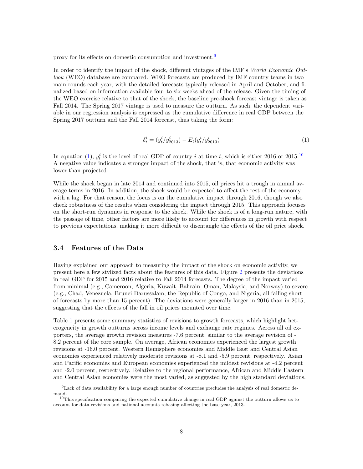proxy for its effects on domestic consumption and investment.<sup>[9](#page-1-0)</sup>

In order to identify the impact of the shock, different vintages of the IMF's World Economic Outlook (WEO) database are compared. WEO forecasts are produced by IMF country teams in two main rounds each year, with the detailed forecasts typically released in April and October, and finalized based on information available four to six weeks ahead of the release. Given the timing of the WEO exercise relative to that of the shock, the baseline pre-shock forecast vintage is taken as Fall 2014. The Spring 2017 vintage is used to measure the outturn. As such, the dependent variable in our regression analysis is expressed as the cumulative difference in real GDP between the Spring 2017 outturn and the Fall 2014 forecast, thus taking the form:

<span id="page-8-1"></span>
$$
\delta_t^i = (y_t^i / y_{2013}^i) - E_t(y_t^i / y_{2013}^i)
$$
\n(1)

In equation [\(1\)](#page-8-1),  $y_t^i$  is the level of real GDP of country i at time t, which is either 2016 or 2015.<sup>[10](#page-1-0)</sup> A negative value indicates a stronger impact of the shock, that is, that economic activity was lower than projected.

While the shock began in late 2014 and continued into 2015, oil prices hit a trough in annual average terms in 2016. In addition, the shock would be expected to affect the rest of the economy with a lag. For that reason, the focus is on the cumulative impact through 2016, though we also check robustness of the results when considering the impact through 2015. This approach focuses on the short-run dynamics in response to the shock. While the shock is of a long-run nature, with the passage of time, other factors are more likely to account for differences in growth with respect to previous expectations, making it more difficult to disentangle the effects of the oil price shock.

#### <span id="page-8-0"></span>3.4 Features of the Data

Having explained our approach to measuring the impact of the shock on economic activity, we present here a few stylized facts about the features of this data. Figure [2](#page-9-0) presents the deviations in real GDP for 2015 and 2016 relative to Fall 2014 forecasts. The degree of the impact varied from minimal (e.g., Cameroon, Algeria, Kuwait, Bahrain, Oman, Malaysia, and Norway) to severe (e.g., Chad, Venezuela, Brunei Darussalam, the Republic of Congo, and Nigeria, all falling short of forecasts by more than 15 percent). The deviations were generally larger in 2016 than in 2015, suggesting that the effects of the fall in oil prices mounted over time.

Table [1](#page-10-2) presents some summary statistics of revisions to growth forecasts, which highlight heterogeneity in growth outturns across income levels and exchange rate regimes. Across all oil exporters, the average growth revision measures -7.6 percent, similar to the average revision of - 8.2 percent of the core sample. On average, African economies experienced the largest growth revisions at -16.0 percent. Western Hemisphere economies and Middle East and Central Asian economies experienced relatively moderate revisions at -8.1 and -5.9 percent, respectively. Asian and Pacific economies and European economies experienced the mildest revisions at -4.2 percent and -2.0 percent, respectively. Relative to the regional performance, African and Middle Eastern and Central Asian economies were the most varied, as suggested by the high standard deviations.

<sup>9</sup>Lack of data availability for a large enough number of countries precludes the analysis of real domestic demand.

<sup>10</sup>This specification comparing the expected cumulative change in real GDP against the outturn allows us to account for data revisions and national accounts rebasing affecting the base year, 2013.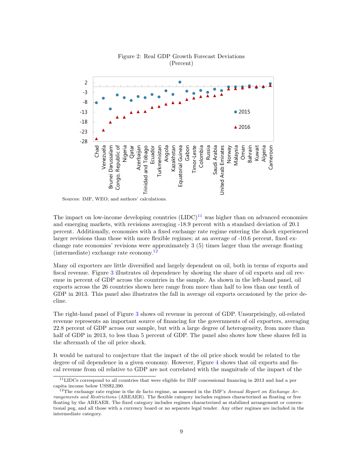<span id="page-9-0"></span>

Figure 2: Real GDP Growth Forecast Deviations (Percent)

Sources: IMF, WEO; and authors' calculations.

The impact on low-income developing countries  $(LIDC)^{11}$  $(LIDC)^{11}$  $(LIDC)^{11}$  was higher than on advanced economies and emerging markets, with revisions averaging -18.9 percent with a standard deviation of 20.1 percent. Additionally, economies with a fixed exchange rate regime entering the shock experienced larger revisions than those with more flexible regimes; at an average of -10.6 percent, fixed exchange rate economies' revisions were approximately 3 (5) times larger than the average floating (intermediate) exchange rate economy.[12](#page-1-0)

Many oil exporters are little diversified and largely dependent on oil, both in terms of exports and fiscal revenue. Figure [3](#page-10-1) illustrates oil dependence by showing the share of oil exports and oil revenue in percent of GDP across the countries in the sample. As shown in the left-hand panel, oil exports across the 26 countries shown here range from more than half to less than one tenth of GDP in 2013. This panel also illustrates the fall in average oil exports occasioned by the price decline.

The right-hand panel of Figure [3](#page-10-1) shows oil revenue in percent of GDP. Unsurprisingly, oil-related revenue represents an important source of financing for the governments of oil exporters, averaging 22.8 percent of GDP across our sample, but with a large degree of heterogeneity, from more than half of GDP in 2013, to less than 5 percent of GDP. The panel also shows how these shares fell in the aftermath of the oil price shock.

It would be natural to conjecture that the impact of the oil price shock would be related to the degree of oil dependence in a given economy. However, Figure [4](#page-11-1) shows that oil exports and fiscal revenue from oil relative to GDP are not correlated with the magnitude of the impact of the

<sup>11</sup>LIDCs correspond to all countries that were eligible for IMF concessional financing in 2013 and had a per capita income below USS\$2,390.

<sup>&</sup>lt;sup>12</sup>The exchange rate regime is the de facto regime, as assessed in the IMF's Annual Report on Exchange Arrangements and Restrictions (AREAER). The flexible category includes regimes characterized as floating or free floating by the AREAER. The fixed category includes regimes characterized as stabilized arrangement or conventional peg, and all those with a currency board or no separate legal tender. Any other regimes are included in the intermediate category.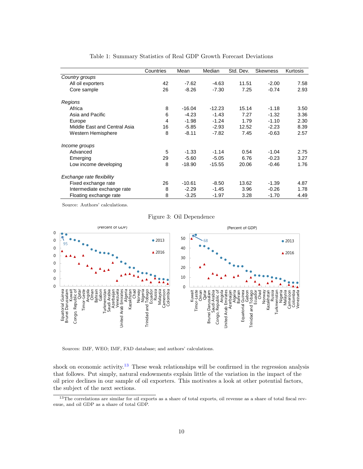<span id="page-10-2"></span>

|                              | Countries | Mean     | Median   | Std. Dev. | <b>Skewness</b> | Kurtosis |
|------------------------------|-----------|----------|----------|-----------|-----------------|----------|
| Country groups               |           |          |          |           |                 |          |
| All oil exporters            | 42        | $-7.62$  | $-4.63$  | 11.51     | $-2.00$         | 7.58     |
| Core sample                  | 26        | $-8.26$  | $-7.30$  | 7.25      | $-0.74$         | 2.93     |
| Regions                      |           |          |          |           |                 |          |
| Africa                       | 8         | $-16.04$ | $-12.23$ | 15.14     | $-1.18$         | 3.50     |
| Asia and Pacific             | 6         | $-4.23$  | $-1.43$  | 7.27      | $-1.32$         | 3.36     |
| Europe                       | 4         | $-1.98$  | $-1.24$  | 1.79      | $-1.10$         | 2.30     |
| Middle East and Central Asia | 16        | $-5.85$  | $-2.93$  | 12.52     | $-2.23$         | 8.39     |
| Western Hemisphere           | 8         | $-8.11$  | $-7.82$  | 7.45      | $-0.63$         | 2.57     |
| Income groups                |           |          |          |           |                 |          |
| Advanced                     | 5         | $-1.33$  | $-1.14$  | 0.54      | $-1.04$         | 2.75     |
| Emerging                     | 29        | $-5.60$  | $-5.05$  | 6.76      | $-0.23$         | 3.27     |
| Low income developing        | 8         | $-18.90$ | $-15.55$ | 20.06     | $-0.46$         | 1.76     |
| Exchange rate flexibility    |           |          |          |           |                 |          |
| Fixed exchange rate          | 26        | $-10.61$ | $-8.50$  | 13.62     | $-1.39$         | 4.87     |
| Intermediate exchange rate   | 8         | $-2.29$  | $-1.45$  | 3.96      | $-0.26$         | 1.78     |
| Floating exchange rate       | 8         | $-3.25$  | $-1.97$  | 3.28      | $-1.70$         | 4.49     |

Table 1: Summary Statistics of Real GDP Growth Forecast Deviations

<span id="page-10-1"></span>Source: Authors' calculations.

Figure 3: Oil Dependence



Sources: IMF, WEO; IMF, FAD database; and authors' calculations.

shock on economic activity.<sup>[13](#page-1-0)</sup> These weak relationships will be confirmed in the regression analysis that follows. Put simply, natural endowments explain little of the variation in the impact of the oil price declines in our sample of oil exporters. This motivates a look at other potential factors, the subject of the next sections.

<span id="page-10-0"></span><sup>&</sup>lt;sup>13</sup>The correlations are similar for oil exports as a share of total exports, oil revenue as a share of total fiscal revenue, and oil GDP as a share of total GDP.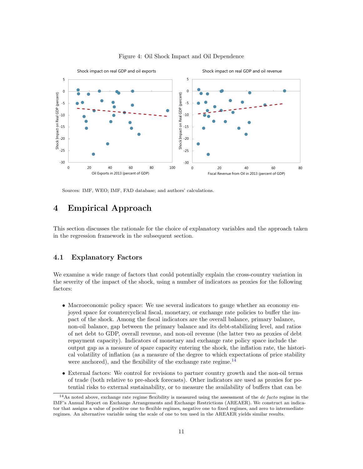<span id="page-11-1"></span>

Figure 4: Oil Shock Impact and Oil Dependence

Sources: IMF, WEO; IMF, FAD database; and authors' calculations.

## 4 Empirical Approach

<span id="page-11-0"></span>This section discusses the rationale for the choice of explanatory variables and the approach taken in the regression framework in the subsequent section.

#### 4.1 Explanatory Factors

We examine a wide range of factors that could potentially explain the cross-country variation in the severity of the impact of the shock, using a number of indicators as proxies for the following factors:

- Macroeconomic policy space: We use several indicators to gauge whether an economy enjoyed space for countercyclical fiscal, monetary, or exchange rate policies to buffer the impact of the shock. Among the fiscal indicators are the overall balance, primary balance, non-oil balance, gap between the primary balance and its debt-stabilizing level, and ratios of net debt to GDP, overall revenue, and non-oil revenue (the latter two as proxies of debt repayment capacity). Indicators of monetary and exchange rate policy space include the output gap as a measure of spare capacity entering the shock, the inflation rate, the historical volatility of inflation (as a measure of the degree to which expectations of price stability were anchored), and the flexibility of the exchange rate regime. $^{14}$  $^{14}$  $^{14}$
- External factors: We control for revisions to partner country growth and the non-oil terms of trade (both relative to pre-shock forecasts). Other indicators are used as proxies for potential risks to external sustainability, or to measure the availability of buffers that can be

 $14$ As noted above, exchange rate regime flexibility is measured using the assessment of the *de facto* regime in the IMF's Annual Report on Exchange Arrangements and Exchange Restrictions (AREAER). We construct an indicator that assigns a value of positive one to flexible regimes, negative one to fixed regimes, and zero to intermediate regimes. An alternative variable using the scale of one to ten used in the AREAER yields similar results.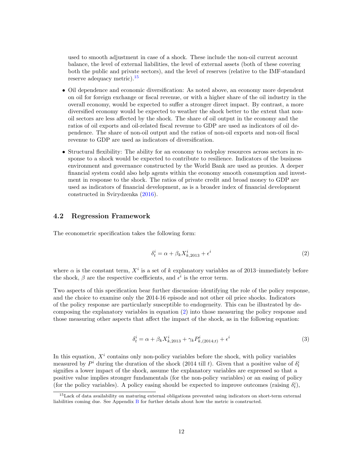used to smooth adjustment in case of a shock. These include the non-oil current account balance, the level of external liabilities, the level of external assets (both of these covering both the public and private sectors), and the level of reserves (relative to the IMF-standard reserve adequacy metric).[15](#page-1-0)

- Oil dependence and economic diversification: As noted above, an economy more dependent on oil for foreign exchange or fiscal revenue, or with a higher share of the oil industry in the overall economy, would be expected to suffer a stronger direct impact. By contrast, a more diversified economy would be expected to weather the shock better to the extent that nonoil sectors are less affected by the shock. The share of oil output in the economy and the ratios of oil exports and oil-related fiscal revenue to GDP are used as indicators of oil dependence. The share of non-oil output and the ratios of non-oil exports and non-oil fiscal revenue to GDP are used as indicators of diversification.
- Structural flexibility: The ability for an economy to redeploy resources across sectors in response to a shock would be expected to contribute to resilience. Indicators of the business environment and governance constructed by the World Bank are used as proxies. A deeper financial system could also help agents within the economy smooth consumption and investment in response to the shock. The ratios of private credit and broad money to GDP are used as indicators of financial development, as is a broader index of financial development constructed in Svirydzenka [\(2016\)](#page-23-6).

#### <span id="page-12-0"></span>4.2 Regression Framework

The econometric specification takes the following form:

<span id="page-12-1"></span>
$$
\delta_t^i = \alpha + \beta_k X_{k,2013}^i + \epsilon^i \tag{2}
$$

where  $\alpha$  is the constant term,  $X^i$  is a set of k explanatory variables as of 2013–immediately before the shock,  $\beta$  are the respective coefficients, and  $\epsilon^i$  is the error term.

Two aspects of this specification bear further discussion–identifying the role of the policy response, and the choice to examine only the 2014-16 episode and not other oil price shocks. Indicators of the policy response are particularly susceptible to endogeneity. This can be illustrated by decomposing the explanatory variables in equation [\(2\)](#page-12-1) into those measuring the policy response and those measuring other aspects that affect the impact of the shock, as in the following equation:

$$
\delta_t^i = \alpha + \beta_k X_{k,2013}^i + \gamma_k P_{k,(2014;t)}^i + \epsilon^i
$$
\n(3)

In this equation,  $X^i$  contains only non-policy variables before the shock, with policy variables measured by  $P^i$  during the duration of the shock (2014 till t). Given that a positive value of  $\delta_t^i$ signifies a lower impact of the shock, assume the explanatory variables are expressed so that a positive value implies stronger fundamentals (for the non-policy variables) or an easing of policy (for the policy variables). A policy easing should be expected to improve outcomes (raising  $\delta_t^i$ ),

<sup>15</sup>Lack of data availability on maturing external obligations prevented using indicators on short-term external liabilities coming due. See Appendix [B](#page-25-0) for further details about how the metric is constructed.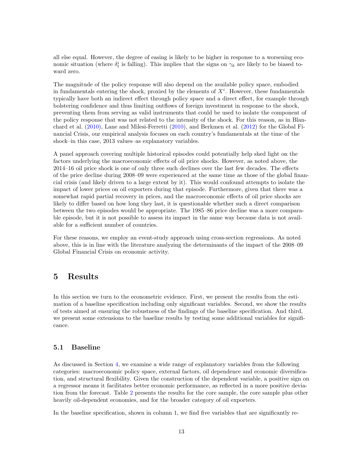all else equal. However, the degree of easing is likely to be higher in response to a worsening economic situation (where  $\delta_t^i$  is falling). This implies that the signs on  $\gamma_k$  are likely to be biased toward zero.

The magnitude of the policy response will also depend on the available policy space, embodied in fundamentals entering the shock, proxied by the elements of  $X<sup>i</sup>$ . However, these fundamentals typically have both an indirect effect through policy space and a direct effect, for example through bolstering confidence and thus limiting outflows of foreign investment in response to the shock, preventing them from serving as valid instruments that could be used to isolate the component of the policy response that was not related to the intensity of the shock. For this reason, as in Blanchard et al. [\(2010\)](#page-22-13), Lane and Milesi-Ferretti [\(2010\)](#page-22-15), and Berkmen et al. [\(2012\)](#page-22-12) for the Global Financial Crisis, our empirical analysis focuses on each country's fundamentals at the time of the shock–in this case, 2013 values–as explanatory variables.

A panel approach covering multiple historical episodes could potentially help shed light on the factors underlying the macroeconomic effects of oil price shocks. However, as noted above, the 2014–16 oil price shock is one of only three such declines over the last few decades. The effects of the price decline during 2008–09 were experienced at the same time as those of the global financial crisis (and likely driven to a large extent by it). This would confound attempts to isolate the impact of lower prices on oil exporters during that episode. Furthermore, given that there was a somewhat rapid partial recovery in prices, and the macroeconomic effects of oil price shocks are likely to differ based on how long they last, it is questionable whether such a direct comparison between the two episodes would be appropriate. The 1985–86 price decline was a more comparable episode, but it is not possible to assess its impact in the same way because data is not available for a sufficient number of countries.

For these reasons, we employ an event-study approach using cross-section regressions. As noted above, this is in line with the literature analyzing the determinants of the impact of the 2008–09 Global Financial Crisis on economic activity.

## <span id="page-13-0"></span>5 Results

In this section we turn to the econometric evidence. First, we present the results from the estimation of a baseline specification including only significant variables. Second, we show the results of tests aimed at ensuring the robustness of the findings of the baseline specification. And third, we present some extensions to the baseline results by testing some additional variables for significance.

### <span id="page-13-1"></span>5.1 Baseline

As discussed in Section [4,](#page-10-0) we examine a wide range of explanatory variables from the following categories: macroeconomic policy space, external factors, oil dependence and economic diversification, and structural flexibility. Given the construction of the dependent variable, a positive sign on a regressor means it facilitates better economic performance, as reflected in a more positive deviation from the forecast. Table [2](#page-15-1) presents the results for the core sample, the core sample plus other heavily oil-dependent economies, and for the broader category of oil exporters.

In the baseline specification, shown in column 1, we find five variables that are significantly re-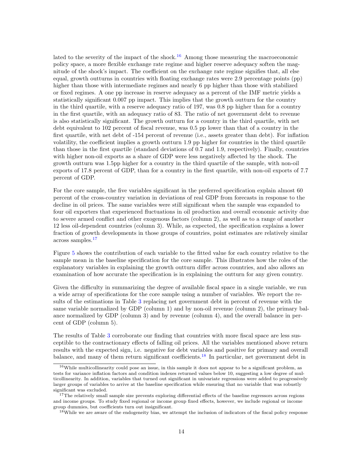lated to the severity of the impact of the shock.<sup>[16](#page-1-0)</sup> Among those measuring the macroeconomic policy space, a more flexible exchange rate regime and higher reserve adequacy soften the magnitude of the shock's impact. The coefficient on the exchange rate regime signifies that, all else equal, growth outturns in countries with floating exchange rates were 2.9 percentage points (pp) higher than those with intermediate regimes and nearly 6 pp higher than those with stabilized or fixed regimes. A one pp increase in reserve adequacy as a percent of the IMF metric yields a statistically significant 0.007 pp impact. This implies that the growth outturn for the country in the third quartile, with a reserve adequacy ratio of 197, was 0.8 pp higher than for a country in the first quartile, with an adequacy ratio of 83. The ratio of net government debt to revenue is also statistically significant. The growth outturn for a country in the third quartile, with net debt equivalent to 102 percent of fiscal revenue, was 0.5 pp lower than that of a country in the first quartile, with net debt of -154 percent of revenue (i.e., assets greater than debt). For inflation volatility, the coefficient implies a growth outturn 1.9 pp higher for countries in the third quartile than those in the first quartile (standard deviations of 0.7 and 1.9, respectively). Finally, countries with higher non-oil exports as a share of GDP were less negatively affected by the shock. The growth outturn was 1.5pp higher for a country in the third quartile of the sample, with non-oil exports of 17.8 percent of GDP, than for a country in the first quartile, with non-oil exports of 7.7 percent of GDP.

For the core sample, the five variables significant in the preferred specification explain almost 60 percent of the cross-country variation in deviations of real GDP from forecasts in response to the decline in oil prices. The same variables were still significant when the sample was expanded to four oil exporters that experienced fluctuations in oil production and overall economic activity due to severe armed conflict and other exogenous factors (column 2), as well as to a range of another 12 less oil-dependent countries (column 3). While, as expected, the specification explains a lower fraction of growth developments in those groups of countries, point estimates are relatively similar across samples.[17](#page-1-0)

Figure [5](#page-16-0) shows the contribution of each variable to the fitted value for each country relative to the sample mean in the baseline specification for the core sample. This illustrates how the roles of the explanatory variables in explaining the growth outturn differ across countries, and also allows an examination of how accurate the specification is in explaining the outturn for any given country.

Given the difficulty in summarizing the degree of available fiscal space in a single variable, we run a wide array of specifications for the core sample using a number of variables. We report the results of the estimations in Table [3](#page-17-0) replacing net government debt in percent of revenue with the same variable normalized by GDP (column 1) and by non-oil revenue (column 2), the primary balance normalized by GDP (column 3) and by revenue (column 4), and the overall balance in percent of GDP (column 5).

The results of Table [3](#page-17-0) corroborate our finding that countries with more fiscal space are less susceptible to the contractionary effects of falling oil prices. All the variables mentioned above return results with the expected sign, i.e. negative for debt variables and positive for primary and overall balance, and many of them return significant coefficients.<sup>[18](#page-1-0)</sup> In particular, net government debt in

<sup>&</sup>lt;sup>16</sup>While multicollinearity could pose an issue, in this sample it does not appear to be a significant problem, as tests for variance inflation factors and condition indexes returned values below 10, suggesting a low degree of multicollinearity. In addition, variables that turned out significant in univariate regressions were added to progressively larger groups of variables to arrive at the baseline specification while ensuring that no variable that was robustly significant was excluded.

<sup>&</sup>lt;sup>17</sup>The relatively small sample size prevents exploring differential effects of the baseline regressors across regions and income groups. To study fixed regional or income group fixed effects, however, we include regional or income group dummies, but coefficients turn out insignificant.

<sup>&</sup>lt;sup>18</sup>While we are aware of the endogeneity bias, we attempt the inclusion of indicators of the fiscal policy response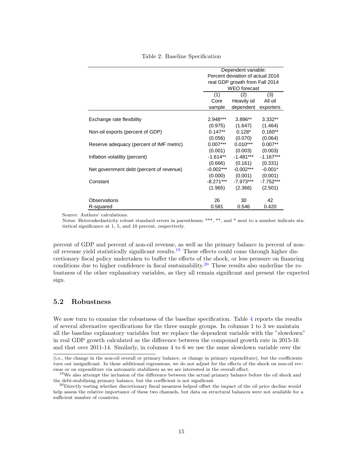#### Table 2: Baseline Specification

<span id="page-15-1"></span>

|                                          |             | Dependent variable:              |             |
|------------------------------------------|-------------|----------------------------------|-------------|
|                                          |             | Percent deviation of actual 2016 |             |
|                                          |             | real GDP growth from Fall 2014   |             |
|                                          |             | <b>WEO</b> forecast              |             |
|                                          | (1)         | (2)                              | (3)         |
|                                          | Core        | Heavily oil                      | All oil     |
|                                          | sample      | dependent exporters              |             |
|                                          |             |                                  |             |
| Exchange rate flexibility                | 2.948***    | $3.896**$                        | $3.332**$   |
|                                          | (0.975)     | (1.647)                          | (1.464)     |
| Non-oil exports (percent of GDP)         | $0.147**$   | $0.128*$                         | $0.160**$   |
|                                          | (0.056)     | (0.070)                          | (0.064)     |
| Reserve adequacy (percent of IMF metric) | $0.007***$  | $0.010***$                       | $0.007**$   |
|                                          | (0.001)     | (0.003)                          | (0.003)     |
| Inflation volatility (percent)           | -1.614**    | $-1.481***$                      | $-1.167***$ |
|                                          | (0.666)     | (0.161)                          | (0.331)     |
| Net government debt (percent of revenue) | $-0.002***$ | $-0.002***$                      | $-0.001*$   |
|                                          | (0.000)     | (0.001)                          | (0.001)     |
| Constant                                 | $-8.271***$ | -7.973***                        | $-7.752***$ |
|                                          | (1.965)     | (2.366)                          | (2.501)     |
|                                          |             |                                  |             |
| Observations                             | 26          | 30                               | 42          |
| R-squared                                | 0.581       | 0.546                            | 0.420       |

Source: Authors' calculations.

Notes: Heteroskedasticity robust standard errors in parentheses; \*\*\*, \*\*, and \* next to a number indicate statistical significance at 1, 5, and 10 percent, respectively.

percent of GDP and percent of non-oil revenue, as well as the primary balance in percent of nonoil revenue yield statistically significant results.[19](#page-1-0) These effects could come through higher discretionary fiscal policy undertaken to buffer the effects of the shock, or less pressure on financing conditions due to higher confidence in fiscal sustainability.<sup>[20](#page-1-0)</sup> These results also underline the robustness of the other explanatory variables, as they all remain significant and present the expected sign.

#### <span id="page-15-0"></span>5.2 Robustness

We now turn to examine the robustness of the baseline specification. Table [4](#page-18-0) reports the results of several alternative specifications for the three sample groups. In columns 1 to 3 we maintain all the baseline explanatory variables but we replace the dependent variable with the "slowdown" in real GDP growth calculated as the difference between the compound growth rate in 2015-16 and that over 2011-14. Similarly, in columns 4 to 6 we use the same slowdown variable over the

<sup>(</sup>i.e., the change in the non-oil overall or primary balance, or change in primary expenditure), but the coefficients turn out insignificant. In these additional regressions, we do not adjust for the effects of the shock on non-oil revenue or on expenditure via automatic stabilizers as we are interested in the overall effect.

<sup>&</sup>lt;sup>19</sup>We also attempt the inclusion of the difference between the actual primary balance before the oil shock and the debt-stabilizing primary balance, but the coefficient is not significant.

<sup>&</sup>lt;sup>20</sup>Directly testing whether discretionary fiscal measures helped offset the impact of the oil price decline would help assess the relative importance of these two channels, but data on structural balances were not available for a sufficient number of countries.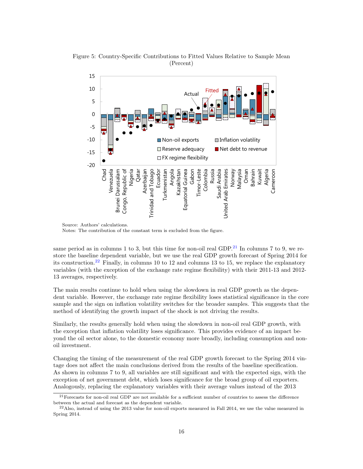

<span id="page-16-0"></span>Figure 5: Country-Specific Contributions to Fitted Values Relative to Sample Mean (Percent)

Notes: The contribution of the constant term is excluded from the figure.

same period as in columns 1 to 3, but this time for non-oil real GDP.<sup>[21](#page-1-0)</sup> In columns 7 to 9, we restore the baseline dependent variable, but we use the real GDP growth forecast of Spring 2014 for its construction.<sup>[22](#page-1-0)</sup> Finally, in columns 10 to 12 and columns 13 to 15, we replace the explanatory variables (with the exception of the exchange rate regime flexibility) with their 2011-13 and 2012- 13 averages, respectively.

The main results continue to hold when using the slowdown in real GDP growth as the dependent variable. However, the exchange rate regime flexibility loses statistical significance in the core sample and the sign on inflation volatility switches for the broader samples. This suggests that the method of identifying the growth impact of the shock is not driving the results.

Similarly, the results generally hold when using the slowdown in non-oil real GDP growth, with the exception that inflation volatility loses significance. This provides evidence of an impact beyond the oil sector alone, to the domestic economy more broadly, including consumption and nonoil investment.

Changing the timing of the measurement of the real GDP growth forecast to the Spring 2014 vintage does not affect the main conclusions derived from the results of the baseline specification. As shown in columns 7 to 9, all variables are still significant and with the expected sign, with the exception of net government debt, which loses significance for the broad group of oil exporters. Analogously, replacing the explanatory variables with their average values instead of the 2013

Source: Authors' calculations.

 $^{21}$ Forecasts for non-oil real GDP are not available for a sufficient number of countries to assess the difference between the actual and forecast as the dependent variable.

 $^{22}$ Also, instead of using the 2013 value for non-oil exports measured in Fall 2014, we use the value measured in Spring 2014.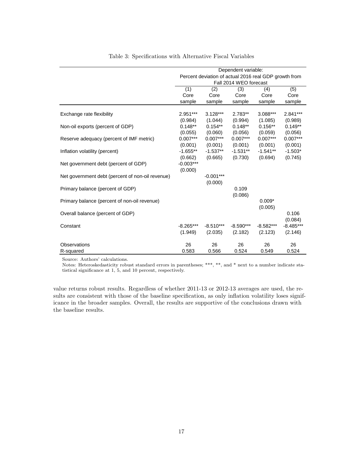<span id="page-17-0"></span>

|                                                  |             |             | Dependent variable:    |                                                       |             |
|--------------------------------------------------|-------------|-------------|------------------------|-------------------------------------------------------|-------------|
|                                                  |             |             |                        | Percent deviation of actual 2016 real GDP growth from |             |
|                                                  |             |             | Fall 2014 WEO forecast |                                                       |             |
|                                                  | (1)         | (2)         | (3)                    | (4)                                                   | (5)         |
|                                                  | Core        | Core        | Core                   | Core                                                  | Core        |
|                                                  | sample      | sample      | sample                 | sample                                                | sample      |
|                                                  |             |             |                        |                                                       |             |
| Exchange rate flexibility                        | 2.951***    | $3.128***$  | $2.783**$              | 3.088***                                              | 2.841***    |
|                                                  | (0.984)     | (1.044)     | (0.994)                | (1.085)                                               | (0.989)     |
| Non-oil exports (percent of GDP)                 | $0.148**$   | $0.154**$   | $0.148**$              | $0.156**$                                             | $0.149**$   |
|                                                  | (0.055)     | (0.060)     | (0.056)                | (0.059)                                               | (0.056)     |
| Reserve adequacy (percent of IMF metric)         | $0.007***$  | $0.007***$  | $0.007***$             | $0.007***$                                            | $0.007***$  |
|                                                  | (0.001)     | (0.001)     | (0.001)                | (0.001)                                               | (0.001)     |
| Inflation volatility (percent)                   | $-1.655**$  | $-1.537**$  | $-1.531**$             | $-1.541**$                                            | $-1.503*$   |
|                                                  | (0.662)     | (0.665)     | (0.730)                | (0.694)                                               | (0.745)     |
| Net government debt (percent of GDP)             | $-0.003***$ |             |                        |                                                       |             |
|                                                  | (0.000)     |             |                        |                                                       |             |
| Net government debt (percent of non-oil revenue) |             | $-0.001***$ |                        |                                                       |             |
|                                                  |             | (0.000)     |                        |                                                       |             |
| Primary balance (percent of GDP)                 |             |             | 0.109                  |                                                       |             |
|                                                  |             |             | (0.086)                |                                                       |             |
| Primary balance (percent of non-oil revenue)     |             |             |                        | $0.009*$                                              |             |
|                                                  |             |             |                        | (0.005)                                               |             |
| Overall balance (percent of GDP)                 |             |             |                        |                                                       | 0.106       |
|                                                  |             |             |                        |                                                       | (0.084)     |
| Constant                                         | $-8.265***$ | $-8.510***$ | $-8.590***$            | $-8.582***$                                           | $-8.485***$ |
|                                                  | (1.949)     | (2.035)     | (2.182)                | (2.123)                                               | (2.146)     |
| Observations                                     | 26          | 26          | 26                     | 26                                                    | 26          |
| R-squared                                        | 0.583       | 0.566       | 0.524                  | 0.549                                                 | 0.524       |

Table 3: Specifications with Alternative Fiscal Variables

Source: Authors' calculations.

Notes: Heteroskedasticity robust standard errors in parentheses; \*\*\*, \*\*, and \* next to a number indicate statistical significance at 1, 5, and 10 percent, respectively.

value returns robust results. Regardless of whether 2011-13 or 2012-13 averages are used, the results are consistent with those of the baseline specification, as only inflation volatility loses significance in the broader samples. Overall, the results are supportive of the conclusions drawn with the baseline results.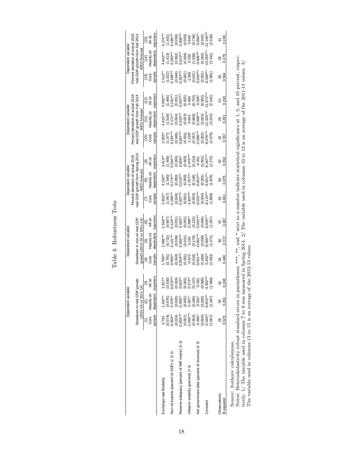|                                               |                                                                                                                                                                                                                                                                                                       | Dependent va                                                                                                                                                                    | iable:                                                                                                                                                                                                 |                                                                                                                                                                                                    | Dependent variable:                                                                                                                                                                                                                                                                                           |                                                                                                                                              |                                                                                                                                                                                                 | Dependent variable:                                                                                                                       |                                                                                                    |             | Dependent variable:                                                                                                                                                                                              |                                                                                                                                               |                                                                                                                                                                                                                                                                                | Dependent variable:                                                                                                          |                                                                                                                                       |
|-----------------------------------------------|-------------------------------------------------------------------------------------------------------------------------------------------------------------------------------------------------------------------------------------------------------------------------------------------------------|---------------------------------------------------------------------------------------------------------------------------------------------------------------------------------|--------------------------------------------------------------------------------------------------------------------------------------------------------------------------------------------------------|----------------------------------------------------------------------------------------------------------------------------------------------------------------------------------------------------|---------------------------------------------------------------------------------------------------------------------------------------------------------------------------------------------------------------------------------------------------------------------------------------------------------------|----------------------------------------------------------------------------------------------------------------------------------------------|-------------------------------------------------------------------------------------------------------------------------------------------------------------------------------------------------|-------------------------------------------------------------------------------------------------------------------------------------------|----------------------------------------------------------------------------------------------------|-------------|------------------------------------------------------------------------------------------------------------------------------------------------------------------------------------------------------------------|-----------------------------------------------------------------------------------------------------------------------------------------------|--------------------------------------------------------------------------------------------------------------------------------------------------------------------------------------------------------------------------------------------------------------------------------|------------------------------------------------------------------------------------------------------------------------------|---------------------------------------------------------------------------------------------------------------------------------------|
|                                               |                                                                                                                                                                                                                                                                                                       |                                                                                                                                                                                 |                                                                                                                                                                                                        |                                                                                                                                                                                                    |                                                                                                                                                                                                                                                                                                               |                                                                                                                                              |                                                                                                                                                                                                 | Percent deviation of actual 2016                                                                                                          |                                                                                                    |             | Percent deviation of actual 2016                                                                                                                                                                                 |                                                                                                                                               |                                                                                                                                                                                                                                                                                | Percent deviation of actual 2016                                                                                             |                                                                                                                                       |
|                                               |                                                                                                                                                                                                                                                                                                       | Slowdown in real G<br>(2015-16 vs 20                                                                                                                                            | DP growth<br>$11 - 14$                                                                                                                                                                                 |                                                                                                                                                                                                    | Slowdown in non-oil real GDP<br>growth (2015-16 vs 2011-14)                                                                                                                                                                                                                                                   |                                                                                                                                              |                                                                                                                                                                                                 | eal GDP growth from Spring 201-<br>WEO forecast                                                                                           |                                                                                                    |             | real GDP growth from Fall 2014<br><b>NEO</b> forecast                                                                                                                                                            |                                                                                                                                               |                                                                                                                                                                                                                                                                                | real GDP growth from Fal<br><b>NEO</b> forecas                                                                               | 2014                                                                                                                                  |
|                                               |                                                                                                                                                                                                                                                                                                       | $\widehat{\alpha}$                                                                                                                                                              | ම                                                                                                                                                                                                      | $\widehat{\tau}$ ge                                                                                                                                                                                |                                                                                                                                                                                                                                                                                                               | $\circledcirc$                                                                                                                               | ၉ ရွိ                                                                                                                                                                                           | $\circledcirc$                                                                                                                            | ම                                                                                                  | (10)        |                                                                                                                                                                                                                  | (12)                                                                                                                                          | $\frac{3}{2}$                                                                                                                                                                                                                                                                  |                                                                                                                              |                                                                                                                                       |
|                                               | Core                                                                                                                                                                                                                                                                                                  | Heavily oi                                                                                                                                                                      | ail<br>≅                                                                                                                                                                                               |                                                                                                                                                                                                    | io vinae<br>Heavily oil                                                                                                                                                                                                                                                                                       | All oil                                                                                                                                      |                                                                                                                                                                                                 | leavily oi                                                                                                                                | All oil                                                                                            | Core        | $(11)$<br>Heavily oil                                                                                                                                                                                            | All oil                                                                                                                                       |                                                                                                                                                                                                                                                                                | (14)<br>Heavily oil                                                                                                          | ភូមិ<br>ភូមិ                                                                                                                          |
|                                               | sample                                                                                                                                                                                                                                                                                                | depende                                                                                                                                                                         | exporter                                                                                                                                                                                               | sample                                                                                                                                                                                             | dependen                                                                                                                                                                                                                                                                                                      | exporters                                                                                                                                    | sample                                                                                                                                                                                          | lependen                                                                                                                                  | exporters                                                                                          | sample      | dependen                                                                                                                                                                                                         | exporters                                                                                                                                     | sample                                                                                                                                                                                                                                                                         | dependent                                                                                                                    | exporters                                                                                                                             |
| Exchange rate flexibility                     |                                                                                                                                                                                                                                                                                                       | $1.597***$                                                                                                                                                                      |                                                                                                                                                                                                        |                                                                                                                                                                                                    |                                                                                                                                                                                                                                                                                                               |                                                                                                                                              |                                                                                                                                                                                                 |                                                                                                                                           |                                                                                                    |             |                                                                                                                                                                                                                  |                                                                                                                                               |                                                                                                                                                                                                                                                                                |                                                                                                                              |                                                                                                                                       |
|                                               |                                                                                                                                                                                                                                                                                                       |                                                                                                                                                                                 |                                                                                                                                                                                                        |                                                                                                                                                                                                    |                                                                                                                                                                                                                                                                                                               |                                                                                                                                              |                                                                                                                                                                                                 |                                                                                                                                           |                                                                                                    |             |                                                                                                                                                                                                                  |                                                                                                                                               |                                                                                                                                                                                                                                                                                |                                                                                                                              |                                                                                                                                       |
| Non-oil exports (percent of GDP) 1/2/3/       | $\begin{array}{l} 0.792 \\ 0.574 \\ 0.63^{**} \\ 0.024 \\ 0.003^{**} \\ 0.000 \\ 0.000 \\ 0.000 \\ 0.000 \\ 0.000 \\ 0.000 \\ 0.000 \\ 0.000 \\ 0.000 \\ 0.000 \\ 0.000 \\ 0.000 \\ 0.000 \\ 0.000 \\ 0.000 \\ 0.000 \\ 0.000 \\ 0.000 \\ 0.000 \\ 0.000 \\ 0.000 \\ 0.000 \\ 0.000 \\ 0.000 \\ 0.00$ | $\begin{array}{l} (0.676)\\ 0.078^{**}\\ 0.0028)\\ (0.004^{**}\\ 0.004^{**}\\ (0.002)\\ (0.0037^{**}\\ (0.003)\\ (0.000)\\ (0.000)\\ (0.000)\\ (0.000)\\ (1.187)\\ \end{array}$ | $\begin{array}{l} 1.557^{*}\\ (0.630)\\ (0.076^{*+}\\ (0.024)\\ (0.003^{*+}\\ (0.003^{*+}\\ (0.001)\\ (0.001)\\ (0.001)\\ (0.001)\\ (0.000)\\ (0.000)\\ (1.082^{*+}\\ (1.084)\\ (1.084)\\ \end{array}$ | $\begin{array}{l} \text{(1796)}\\ (0.781)\\ (0.095^{**}\\ (0.043)\\ (0.004^{**}\\ (0.001)\\ (0.001)\\ (0.001)\\ (0.001)\\ (0.000)\\ (0.000)\\ (0.000)\\ (0.000)\\ (0.003)\\ (0.053)\\ \end{array}$ | $\begin{array}{l} 2.486^{**} \\ 2.732 \\ 2.732 \\ 2.83 \\ 2.92 \\ 2.93 \\ 2.94 \\ 2.95 \\ 2.97 \\ 2.98 \\ 2.99 \\ 2.99 \\ 2.99 \\ 2.99 \\ 2.99 \\ 2.99 \\ 2.99 \\ 2.99 \\ 2.99 \\ 2.99 \\ 2.99 \\ 2.99 \\ 2.99 \\ 2.99 \\ 2.99 \\ 2.99 \\ 2.99 \\ 2.99 \\ 2.99 \\ 2.99 \\ 2.99 \\ 2.99 \\ 2.99 \\ 2.99 \\ 2.$ | $2.543**$<br>$(0.687)$<br>$(0.031)$<br>$(0.031)$<br>$(0.03)*$<br>$(0.003)*$<br>$(0.001)$<br>$(0.001)$<br>$(0.000)$<br>$(0.000)$<br>$(0.000)$ | $\begin{array}{l} 2.653^{**} \\ (1.057) \\ (1.66^{***}) \\ (0.046) \\ (0.046) \\ (0.007^{**}) \\ (0.007^{**}) \\ (0.555) \\ (0.000) \\ (0.000) \\ (0.000) \\ (0.000) \\ (0.000) \\ \end{array}$ | $4.162$<br>$(1.540)$<br>$(0.050)$<br>$(0.050)$<br>$(0.003)$<br>$(0.003)$<br>$(0.001)$<br>$(0.001)$<br>$(0.001)$<br>$(0.001)$<br>$(0.001)$ | $3.414$ **<br>(1.405)<br>(1.405)<br>(0.065)<br>(0.003)<br>(0.001)<br>(0.001)<br>(0.001)<br>(0.001) |             | $\begin{array}{l} 4.615^{***} \\ (1.528) \\ 0.171^{**} \\ (1.064) \\ (0.061^{***}) \\ (0.0003) \\ (0.0008^{***}) \\ (0.0008^{***}) \\ (0.0008^{***}) \\ (0.003) \\ (0.003) \\ (0.003) \\ (0.242) \\ \end{array}$ | $4.360$ $*$<br>$(1.465)$<br>$(1.651)$<br>$(0.051)$<br>$(0.002)$<br>$(0.000)$<br>$(0.000)$<br>$(0.000)$<br>$(0.000)$<br>$(0.000)$<br>$(1.972)$ | $2.512$<br>$2.512$<br>$2.512$<br>$2.512$<br>$2.512$<br>$2.512$<br>$2.512$<br>$2.512$<br>$2.512$<br>$2.512$<br>$2.512$<br>$2.512$<br>$2.512$<br>$2.512$<br>$2.512$<br>$2.512$<br>$2.512$<br>$2.512$<br>$2.512$<br>$2.512$<br>$2.512$<br>$2.512$<br>$2.512$<br>$2.512$<br>$2.51$ | $4.442$<br>$(1.413)$<br>$(1.413)$<br>$(0.062)$<br>$(0.004)$<br>$(0.006)$<br>$(0.006)$<br>$(0.006)$<br>$(0.002)$<br>$(0.002)$ | $4.274$ *** $(1.401)$<br>$(1.401)$<br>$(0.050)$ *** $(0.003)$<br>$(0.003)$ $(0.003)$<br>$(0.004$ * $(0.002)$<br>$(0.004)$ * $(0.002)$ |
|                                               |                                                                                                                                                                                                                                                                                                       |                                                                                                                                                                                 |                                                                                                                                                                                                        |                                                                                                                                                                                                    |                                                                                                                                                                                                                                                                                                               |                                                                                                                                              |                                                                                                                                                                                                 |                                                                                                                                           |                                                                                                    |             |                                                                                                                                                                                                                  |                                                                                                                                               |                                                                                                                                                                                                                                                                                |                                                                                                                              |                                                                                                                                       |
| Reserve adequacy (percent of IMF metric) 2/3/ |                                                                                                                                                                                                                                                                                                       |                                                                                                                                                                                 |                                                                                                                                                                                                        |                                                                                                                                                                                                    |                                                                                                                                                                                                                                                                                                               |                                                                                                                                              |                                                                                                                                                                                                 |                                                                                                                                           |                                                                                                    |             |                                                                                                                                                                                                                  |                                                                                                                                               |                                                                                                                                                                                                                                                                                |                                                                                                                              |                                                                                                                                       |
|                                               |                                                                                                                                                                                                                                                                                                       |                                                                                                                                                                                 |                                                                                                                                                                                                        |                                                                                                                                                                                                    |                                                                                                                                                                                                                                                                                                               |                                                                                                                                              |                                                                                                                                                                                                 |                                                                                                                                           |                                                                                                    |             |                                                                                                                                                                                                                  |                                                                                                                                               |                                                                                                                                                                                                                                                                                |                                                                                                                              |                                                                                                                                       |
| Inflation volatility (percent) 2/3/           |                                                                                                                                                                                                                                                                                                       |                                                                                                                                                                                 |                                                                                                                                                                                                        |                                                                                                                                                                                                    |                                                                                                                                                                                                                                                                                                               |                                                                                                                                              |                                                                                                                                                                                                 |                                                                                                                                           |                                                                                                    |             |                                                                                                                                                                                                                  |                                                                                                                                               |                                                                                                                                                                                                                                                                                |                                                                                                                              |                                                                                                                                       |
|                                               |                                                                                                                                                                                                                                                                                                       |                                                                                                                                                                                 |                                                                                                                                                                                                        |                                                                                                                                                                                                    |                                                                                                                                                                                                                                                                                                               |                                                                                                                                              |                                                                                                                                                                                                 |                                                                                                                                           |                                                                                                    |             |                                                                                                                                                                                                                  |                                                                                                                                               |                                                                                                                                                                                                                                                                                |                                                                                                                              |                                                                                                                                       |
| Net government debt (percent of revenue) 2/3/ |                                                                                                                                                                                                                                                                                                       |                                                                                                                                                                                 |                                                                                                                                                                                                        |                                                                                                                                                                                                    |                                                                                                                                                                                                                                                                                                               |                                                                                                                                              |                                                                                                                                                                                                 |                                                                                                                                           |                                                                                                    |             |                                                                                                                                                                                                                  |                                                                                                                                               |                                                                                                                                                                                                                                                                                |                                                                                                                              |                                                                                                                                       |
|                                               |                                                                                                                                                                                                                                                                                                       |                                                                                                                                                                                 |                                                                                                                                                                                                        |                                                                                                                                                                                                    |                                                                                                                                                                                                                                                                                                               |                                                                                                                                              |                                                                                                                                                                                                 |                                                                                                                                           |                                                                                                    |             |                                                                                                                                                                                                                  |                                                                                                                                               |                                                                                                                                                                                                                                                                                |                                                                                                                              |                                                                                                                                       |
| Constant                                      |                                                                                                                                                                                                                                                                                                       |                                                                                                                                                                                 |                                                                                                                                                                                                        |                                                                                                                                                                                                    |                                                                                                                                                                                                                                                                                                               |                                                                                                                                              |                                                                                                                                                                                                 |                                                                                                                                           |                                                                                                    |             |                                                                                                                                                                                                                  |                                                                                                                                               |                                                                                                                                                                                                                                                                                |                                                                                                                              |                                                                                                                                       |
|                                               |                                                                                                                                                                                                                                                                                                       |                                                                                                                                                                                 |                                                                                                                                                                                                        |                                                                                                                                                                                                    |                                                                                                                                                                                                                                                                                                               | (1.297)                                                                                                                                      | (1.898)                                                                                                                                                                                         |                                                                                                                                           |                                                                                                    |             |                                                                                                                                                                                                                  |                                                                                                                                               |                                                                                                                                                                                                                                                                                | (3.241)                                                                                                                      | (2.530)                                                                                                                               |
| Observations                                  | ని                                                                                                                                                                                                                                                                                                    | 30                                                                                                                                                                              |                                                                                                                                                                                                        |                                                                                                                                                                                                    |                                                                                                                                                                                                                                                                                                               |                                                                                                                                              |                                                                                                                                                                                                 | ౢ                                                                                                                                         |                                                                                                    |             |                                                                                                                                                                                                                  |                                                                                                                                               |                                                                                                                                                                                                                                                                                |                                                                                                                              |                                                                                                                                       |
| R-squared                                     | 0.529                                                                                                                                                                                                                                                                                                 | 0.261                                                                                                                                                                           | $42$<br>0.248                                                                                                                                                                                          | ०.40<br>१९                                                                                                                                                                                         | 30<br>0.372                                                                                                                                                                                                                                                                                                   | $\frac{42}{0.367}$                                                                                                                           | 26<br>0.661                                                                                                                                                                                     | 0.676                                                                                                                                     | 0.552                                                                                              | 26<br>0.557 | 29<br>0.281                                                                                                                                                                                                      | 41<br>0.243                                                                                                                                   | 26<br>0.564                                                                                                                                                                                                                                                                    | 29<br>0.279                                                                                                                  | 0.249                                                                                                                                 |

| ξ<br>٢<br>F                  |  |
|------------------------------|--|
| ò                            |  |
| wue r<br>$\overline{F}$<br>J |  |

<span id="page-18-0"></span>

Source: Authors' calculations.<br>Notes: Heteroskedasticity robust standard errors in parentheses; \*\*\*, \*\*, and \* next to a number indicate statistical significance at 1, 5, and 10 percent, respectively. 1/ The variable used Source: Authors' calculations.<br>Notes: Heteroskedasticity robust standard errors in parentheses; \*\*\*, \*\*, and \* next to a number indicate statistical significance at 1, 5, and 10 percent, respec-<br>tively. 1/ The variable use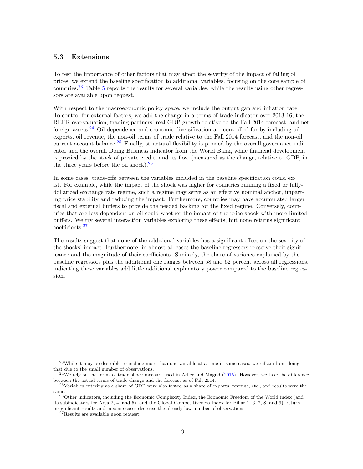## <span id="page-19-0"></span>5.3 Extensions

To test the importance of other factors that may affect the severity of the impact of falling oil prices, we extend the baseline specification to additional variables, focusing on the core sample of countries.<sup>[23](#page-1-0)</sup> Table [5](#page-20-0) reports the results for several variables, while the results using other regressors are available upon request.

With respect to the macroeconomic policy space, we include the output gap and inflation rate. To control for external factors, we add the change in a terms of trade indicator over 2013-16, the REER overvaluation, trading partners' real GDP growth relative to the Fall 2014 forecast, and net foreign assets.<sup>[24](#page-1-0)</sup> Oil dependence and economic diversification are controlled for by including oil exports, oil revenue, the non-oil terms of trade relative to the Fall 2014 forecast, and the non-oil current account balance.<sup>[25](#page-1-0)</sup> Finally, structural flexibility is proxied by the overall governance indicator and the overall Doing Business indicator from the World Bank, while financial development is proxied by the stock of private credit, and its flow (measured as the change, relative to GDP, in the three years before the oil shock).  $26$ 

In some cases, trade-offs between the variables included in the baseline specification could exist. For example, while the impact of the shock was higher for countries running a fixed or fullydollarized exchange rate regime, such a regime may serve as an effective nominal anchor, imparting price stability and reducing the impact. Furthermore, countries may have accumulated larger fiscal and external buffers to provide the needed backing for the fixed regime. Conversely, countries that are less dependent on oil could whether the impact of the price shock with more limited buffers. We try several interaction variables exploring these effects, but none returns significant coefficients.[27](#page-1-0)

The results suggest that none of the additional variables has a significant effect on the severity of the shocks' impact. Furthermore, in almost all cases the baseline regressors preserve their significance and the magnitude of their coefficients. Similarly, the share of variance explained by the baseline regressors plus the additional one ranges between 58 and 62 percent across all regressions, indicating these variables add little additional explanatory power compared to the baseline regression.

<sup>23</sup>While it may be desirable to include more than one variable at a time in some cases, we refrain from doing that due to the small number of observations.

 $24$ We rely on the terms of trade shock measure used in Adler and Magud [\(2015\)](#page-22-21). However, we take the difference between the actual terms of trade change and the forecast as of Fall 2014.

<sup>&</sup>lt;sup>25</sup>Variables entering as a share of GDP were also tested as a share of exports, revenue, etc., and results were the same.

<sup>&</sup>lt;sup>26</sup>Other indicators, including the Economic Complexity Index, the Economic Freedom of the World index (and its subindicators for Area 2, 4, and 5), and the Global Competitiveness Index for Pillar 1, 6, 7, 8, and 9), return insignificant results and in some cases decrease the already low number of observations.

 $27$ Results are available upon request.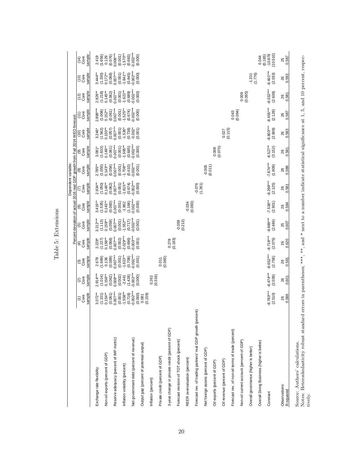|                                                                                        |                                                                                                                           |                                  |                                  |                                  |                                   |                                     | Dependent variable:               |                                  |                                   | Percent deviation of actual 2016 real GDP growth from Fall 2014 WEO forecast |                                  |                                  |                                   |                                    |
|----------------------------------------------------------------------------------------|---------------------------------------------------------------------------------------------------------------------------|----------------------------------|----------------------------------|----------------------------------|-----------------------------------|-------------------------------------|-----------------------------------|----------------------------------|-----------------------------------|------------------------------------------------------------------------------|----------------------------------|----------------------------------|-----------------------------------|------------------------------------|
|                                                                                        | sample<br>Core<br>$\widehat{\epsilon}$                                                                                    | sample<br>Core<br>$\odot$        | sample<br>Core<br>ම              | sample<br>Core<br>⊕              | sample<br>Core<br>ම               | sample<br>Core<br>$\widehat{\circ}$ | sample<br>Core<br>ε               | sample<br>Core<br>®              | sample<br>Core<br>ම               | sample<br>Core<br>$\widetilde{c}$                                            | sample<br>Core<br>(11)           | sample<br>Core<br>(12)           | sample<br>Core<br>(13)            | sample<br>Core<br>(14)             |
| Exchange rate flexibility                                                              | $3.072***$                                                                                                                | $2.914***$                       | 2.678<br>(1.689)                 | 2.228*                           | $3.212***$                        | $3.416**$                           | $2.934***$                        | $2.785**$<br>(1.050)             | $3.081*$                          | $3.246*$                                                                     | $2.898***$                       | 2.826**                          | $3.444**$<br>(1.330)              | 2.419                              |
| Non-oil exports (percent of GDP)                                                       | $0.154***$<br>(1.101)                                                                                                     | $0.156**$<br>(1.014)             | 0.136                            | $0.158***$<br>(1.227)            | $0.159**$<br>(1.113)              | $0.143**$<br>(1.535)                | $0.146**$<br>(1.050)              | $0.143**$                        | (1.633)<br>$0.149**$              | $0.150**$<br>(1.562)                                                         | $0.152***$<br>(1.008)            | $0.145**$<br>(1.218)             | $0.172***$                        | (1.656)<br>0.129                   |
| Reserve adequacy (percent of IMF metric)                                               | $0.007***$<br>(0.061)                                                                                                     | $0.008***$<br>(0.062)            | $0.007***$<br>(0.089)            | $0.007***$<br>(0.068)            | $0.007***$<br>(0.059)             | $0.007***$<br>(0.060)               | $0.007***$<br>(0.062)             | $0.007***$<br>(0.056)            | $0.007***$<br>(0.061)             | $0.007***$<br>(0.057)                                                        | $0.007***$<br>(0.061)            | $0.007***$<br>(0.062)            | $0.007***$<br>(0.068)             | $0.008***$<br>(0.076)              |
| Inflation volatility (percent)                                                         | $-1.558**$<br>(0.001)                                                                                                     | (0.002)<br>$-2.441$              | $-1.623**$<br>(0.001)            | $2.029***$<br>(0.002)<br>(0.696) | $-1.552***$<br>(0.001)            | (0.001)<br>$-1.862$                 | $-1.615**$<br>(0.001)             | $-1.708**$<br>(0.001)            | $-1.595***$<br>(0.001)            | (0.001)<br>$-1.536*$                                                         | $1.525***$<br>(0.001)            | $-1.622***$<br>(0.001)           | $-1.841**$<br>(0.001)             | $-1.570***$<br>(0.001)             |
| Net government debt (percent of revenue)                                               | $-0.002***$<br>(0.718)<br>(0.000)                                                                                         | $0.002***$<br>(1.428)<br>(0.000) | $0.002***$<br>(0.708)<br>(0.001) | $0.003***$<br>(0.001)            | $-0.002***$<br>(0.717)<br>(0.001) | $-0.002***$<br>(1.166)<br>(0.000)   | $-0.002***$<br>(0.674)<br>(0.000) | $0.002***$<br>(0.610)<br>(0.001) | $-0.002***$<br>(0.685)<br>(0.000) | (0.738)<br>$-0.002*$<br>(0.001)                                              | $0.002***$<br>(0.674)<br>(0.000) | $0.002***$<br>(0.689)<br>(0.000) | $-0.002***$<br>(0.645)<br>(0.000) | $-0.002***$<br>(0.693)<br>(0.000)  |
| Output gap (percent of potential output)                                               | (0.159)<br>0.081                                                                                                          |                                  |                                  |                                  |                                   |                                     |                                   |                                  |                                   |                                                                              |                                  |                                  |                                   |                                    |
| Inflation (percent)                                                                    |                                                                                                                           | (0.316)<br>0.262                 |                                  |                                  |                                   |                                     |                                   |                                  |                                   |                                                                              |                                  |                                  |                                   |                                    |
| Private credit (percent of GDP)                                                        |                                                                                                                           |                                  | 0.011                            |                                  |                                   |                                     |                                   |                                  |                                   |                                                                              |                                  |                                  |                                   |                                    |
| 3-year change in private credit (percent of GDP)                                       |                                                                                                                           |                                  | (0.065)                          | 0.278                            |                                   |                                     |                                   |                                  |                                   |                                                                              |                                  |                                  |                                   |                                    |
| Forecast revision of TOT shock (percent)                                               |                                                                                                                           |                                  |                                  | (0.183)                          | $-0.059$                          |                                     |                                   |                                  |                                   |                                                                              |                                  |                                  |                                   |                                    |
| REER overvaluation (percent)                                                           |                                                                                                                           |                                  |                                  |                                  | (0.213)                           | $-0.034$                            |                                   |                                  |                                   |                                                                              |                                  |                                  |                                   |                                    |
| Forecast rev. of trading partners' real GDP growth (percent)                           |                                                                                                                           |                                  |                                  |                                  |                                   | (0.083)                             | $-0.076$                          |                                  |                                   |                                                                              |                                  |                                  |                                   |                                    |
| Net foreign assets (percent of GDP)                                                    |                                                                                                                           |                                  |                                  |                                  |                                   |                                     | (1.261)                           | $-0.005$                         |                                   |                                                                              |                                  |                                  |                                   |                                    |
| Oil exports (percent of GDP)                                                           |                                                                                                                           |                                  |                                  |                                  |                                   |                                     |                                   | (0.011)                          | (0.070)<br>0.008                  |                                                                              |                                  |                                  |                                   |                                    |
| Oil revenue (percent of GDP)                                                           |                                                                                                                           |                                  |                                  |                                  |                                   |                                     |                                   |                                  |                                   | (0.115)<br>0.027                                                             |                                  |                                  |                                   |                                    |
| Forecast rev. of non-oil terms of trade (percent)                                      |                                                                                                                           |                                  |                                  |                                  |                                   |                                     |                                   |                                  |                                   |                                                                              | 0.043                            |                                  |                                   |                                    |
| Non-oil current account (percent of GDP)                                               |                                                                                                                           |                                  |                                  |                                  |                                   |                                     |                                   |                                  |                                   |                                                                              | (0.094)                          | 0.009                            |                                   |                                    |
| Overall governance (higher is better)                                                  |                                                                                                                           |                                  |                                  |                                  |                                   |                                     |                                   |                                  |                                   |                                                                              |                                  | (0.055)                          | $-1.331$                          |                                    |
| Overall Doing Business (higher is better)                                              |                                                                                                                           |                                  |                                  |                                  |                                   |                                     |                                   |                                  |                                   |                                                                              |                                  |                                  | (1.776)                           | 0.044                              |
| Constant                                                                               | $-8.783***$<br>(2.510)                                                                                                    | $-8.474***$<br>(2.039)           | $-8.652***$<br>(2.756)           | $-8.718***$<br>(2.075)           | $-8.999***$<br>(2.484)            | $-7.538**$<br>(2.901)               | $-8.298***$<br>(2.125)            | $-7.874***$<br>(1.809)           | $-8.527**$<br>(3.152)             | $-8.803***$<br>(2.909)                                                       | $-8.455***$<br>(2.128)           | $-8.032***$<br>(2.638)           | $-8.401***$<br>(2.033)            | $-10.878$<br>$(10.510)$<br>(0.165) |
| Observations<br>R-squared                                                              | 0.586<br>26                                                                                                               | 0.601<br>26                      | 0.581<br>26                      | 0.620<br>26                      | 0.607<br>25                       | 0.584<br>26                         | 0.581<br>26                       | 0.588<br>26                      | 0.581<br>26                       | 0.583<br>26                                                                  | 0.587<br>26                      | 0.581<br>26                      | 0.593<br>26                       | 0.587<br>25                        |
| Notes: Heteroskedasticity robust standard<br>Source: Authors' calculations.<br>tively. | errors in parentheses; ***, **, and * next to a number indicate statistical significance at 1, 5, and 10 percent, respec- |                                  |                                  |                                  |                                   |                                     |                                   |                                  |                                   |                                                                              |                                  |                                  |                                   |                                    |

<span id="page-20-0"></span>Table 5: Extensions Table 5: Extensions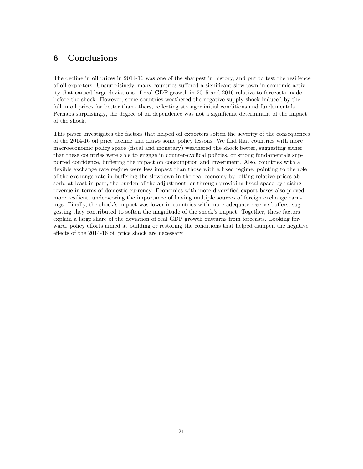# <span id="page-21-0"></span>6 Conclusions

The decline in oil prices in 2014-16 was one of the sharpest in history, and put to test the resilience of oil exporters. Unsurprisingly, many countries suffered a significant slowdown in economic activity that caused large deviations of real GDP growth in 2015 and 2016 relative to forecasts made before the shock. However, some countries weathered the negative supply shock induced by the fall in oil prices far better than others, reflecting stronger initial conditions and fundamentals. Perhaps surprisingly, the degree of oil dependence was not a significant determinant of the impact of the shock.

This paper investigates the factors that helped oil exporters soften the severity of the consequences of the 2014-16 oil price decline and draws some policy lessons. We find that countries with more macroeconomic policy space (fiscal and monetary) weathered the shock better, suggesting either that these countries were able to engage in counter-cyclical policies, or strong fundamentals supported confidence, buffering the impact on consumption and investment. Also, countries with a flexible exchange rate regime were less impact than those with a fixed regime, pointing to the role of the exchange rate in buffering the slowdown in the real economy by letting relative prices absorb, at least in part, the burden of the adjustment, or through providing fiscal space by raising revenue in terms of domestic currency. Economies with more diversified export bases also proved more resilient, underscoring the importance of having multiple sources of foreign exchange earnings. Finally, the shock's impact was lower in countries with more adequate reserve buffers, suggesting they contributed to soften the magnitude of the shock's impact. Together, these factors explain a large share of the deviation of real GDP growth outturns from forecasts. Looking forward, policy efforts aimed at building or restoring the conditions that helped dampen the negative effects of the 2014-16 oil price shock are necessary.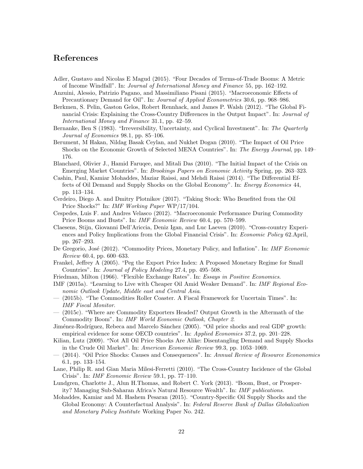## References

- <span id="page-22-21"></span>Adler, Gustavo and Nicolas E Magud (2015). "Four Decades of Terms-of-Trade Booms: A Metric of Income Windfall". In: Journal of International Money and Finance 55, pp. 162–192.
- <span id="page-22-9"></span>Anzuini, Alessio, Patrizio Pagano, and Massimiliano Pisani (2015). "Macroeconomic Effects of Precautionary Demand for Oil". In: Journal of Applied Econometrics 30.6, pp. 968–986.
- <span id="page-22-12"></span>Berkmen, S. Pelin, Gaston Gelos, Robert Rennhack, and James P. Walsh (2012). "The Global Financial Crisis: Explaining the Cross-Country Differences in the Output Impact". In: Journal of International Money and Finance 31.1, pp. 42–59.
- <span id="page-22-7"></span>Bernanke, Ben S (1983). "Irreversibility, Uncertainty, and Cyclical Investment". In: The Quarterly Journal of Economics 98.1, pp. 85–106.
- <span id="page-22-0"></span>Berument, M Hakan, Nildag Basak Ceylan, and Nukhet Dogan (2010). "The Impact of Oil Price Shocks on the Economic Growth of Selected MENA Countries". In: The Energy Journal, pp. 149– 176.
- <span id="page-22-13"></span>Blanchard, Olivier J., Hamid Faruqee, and Mitali Das (2010). "The Initial Impact of the Crisis on Emerging Market Countries". In: Brookings Papers on Economic Activity Spring, pp. 263–323.
- <span id="page-22-1"></span>Cashin, Paul, Kamiar Mohaddes, Maziar Raissi, and Mehdi Raissi (2014). "The Differential Effects of Oil Demand and Supply Shocks on the Global Economy". In: Energy Economics 44, pp. 113–134.
- <span id="page-22-19"></span>Cerdeiro, Diego A. and Dmitry Plotnikov (2017). "Taking Stock: Who Benefited from the Oil Price Shocks?" In: IMF Working Paper WP/17/104.
- <span id="page-22-11"></span>Cespedes, Luis F. and Andres Velasco (2012). "Macroeconomic Performance During Commodity Price Booms and Busts". In: IMF Economic Review 60.4, pp. 570–599.
- <span id="page-22-14"></span>Claesens, Stijn, Giovanni Dell'Ariccia, Deniz Igan, and Luc Laeven (2010). "Cross-country Experiences and Policy Implications from the Global Financial Crisis". In: Economic Policy 62.April, pp. 267–293.
- <span id="page-22-3"></span>De Gregorio, José (2012). "Commodity Prices, Monetary Policy, and Inflation". In: IMF Economic Review 60.4, pp. 600–633.
- <span id="page-22-6"></span>Frankel, Jeffrey A (2005). "Peg the Export Price Index: A Proposed Monetary Regime for Small Countries". In: Journal of Policy Modeling 27.4, pp. 495–508.
- <span id="page-22-5"></span>Friedman, Milton (1966). "Flexible Exchange Rates". In: Essays in Positive Economics.
- <span id="page-22-4"></span>IMF (2015a). "Learning to Live with Cheaper Oil Amid Weaker Demand". In: IMF Regional Economic Outlook Update, Middle east and Central Asia.
- <span id="page-22-2"></span>— (2015b). "The Commodities Roller Coaster. A Fiscal Framework for Uncertain Times". In: IMF Fiscal Monitor.
- <span id="page-22-10"></span>— (2015c). "Where are Commodity Exporters Headed? Output Growth in the Aftermath of the Commodity Boom". In: IMF World Economic Outlook, Chapter 2.
- <span id="page-22-18"></span>Jiménez-Rodríguez, Rebeca and Marcelo Sánchez (2005). "Oil price shocks and real GDP growth: empirical evidence for some OECD countries". In: Applied Economics 37.2, pp. 201–228.
- <span id="page-22-16"></span>Kilian, Lutz (2009). "Not All Oil Price Shocks Are Alike: Disentangling Demand and Supply Shocks in the Crude Oil Market". In: American Economic Review 99.3, pp. 1053–1069.
- <span id="page-22-8"></span>— (2014). "Oil Price Shocks: Causes and Consequences". In: Annual Review of Resource Econonomics 6.1, pp. 133–154.
- <span id="page-22-15"></span>Lane, Philip R. and Gian Maria Milesi-Ferretti (2010). "The Cross-Country Incidence of the Global Crisis". In: IMF Economic Review 59.1, pp. 77–110.
- <span id="page-22-20"></span>Lundgren, Charlotte J., Alun H.Thomas, and Robert C. York (2013). "Boom, Bust, or Prosperity? Managing Sub-Saharan Africa's Natural Resource Wealth". In: IMF publications.
- <span id="page-22-17"></span>Mohaddes, Kamiar and M. Hashem Pesaran (2015). "Country-Specific Oil Supply Shocks and the Global Economy: A Counterfactual Analysis". In: Federal Reserve Bank of Dallas Globalization and Monetary Policy Institute Working Paper No. 242.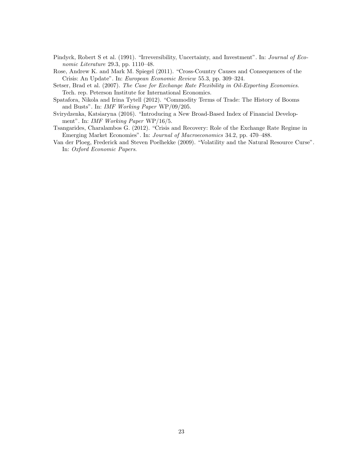- <span id="page-23-2"></span>Pindyck, Robert S et al. (1991). "Irreversibility, Uncertainty, and Investment". In: *Journal of Eco*nomic Literature 29.3, pp. 1110–48.
- <span id="page-23-4"></span>Rose, Andrew K. and Mark M. Spiegel (2011). "Cross-Country Causes and Consequences of the Crisis: An Update". In: European Economic Review 55.3, pp. 309–324.
- <span id="page-23-1"></span>Setser, Brad et al. (2007). The Case for Exchange Rate Flexibility in Oil-Exporting Economies. Tech. rep. Peterson Institute for International Economics.
- <span id="page-23-3"></span>Spatafora, Nikola and Irina Tytell (2012). "Commodity Terms of Trade: The History of Booms and Busts". In: IMF Working Paper WP/09/205.
- <span id="page-23-6"></span>Svirydzenka, Katsiaryna (2016). "Introducing a New Broad-Based Index of Financial Development". In: IMF Working Paper WP/16/5.
- <span id="page-23-5"></span>Tsangarides, Charalambos G. (2012). "Crisis and Recovery: Role of the Exchange Rate Regime in Emerging Market Economies". In: Journal of Macroeconomics 34.2, pp. 470–488.
- <span id="page-23-0"></span>Van der Ploeg, Frederick and Steven Poelhekke (2009). "Volatility and the Natural Resource Curse". In: Oxford Economic Papers.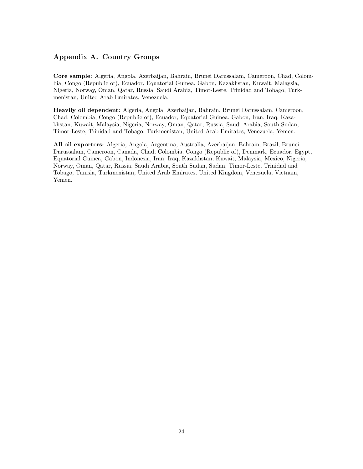## <span id="page-24-0"></span>Appendix A. Country Groups

Core sample: Algeria, Angola, Azerbaijan, Bahrain, Brunei Darussalam, Cameroon, Chad, Colombia, Congo (Republic of), Ecuador, Equatorial Guinea, Gabon, Kazakhstan, Kuwait, Malaysia, Nigeria, Norway, Oman, Qatar, Russia, Saudi Arabia, Timor-Leste, Trinidad and Tobago, Turkmenistan, United Arab Emirates, Venezuela.

Heavily oil dependent: Algeria, Angola, Azerbaijan, Bahrain, Brunei Darussalam, Cameroon, Chad, Colombia, Congo (Republic of), Ecuador, Equatorial Guinea, Gabon, Iran, Iraq, Kazakhstan, Kuwait, Malaysia, Nigeria, Norway, Oman, Qatar, Russia, Saudi Arabia, South Sudan, Timor-Leste, Trinidad and Tobago, Turkmenistan, United Arab Emirates, Venezuela, Yemen.

All oil exporters: Algeria, Angola, Argentina, Australia, Azerbaijan, Bahrain, Brazil, Brunei Darussalam, Cameroon, Canada, Chad, Colombia, Congo (Republic of), Denmark, Ecuador, Egypt, Equatorial Guinea, Gabon, Indonesia, Iran, Iraq, Kazakhstan, Kuwait, Malaysia, Mexico, Nigeria, Norway, Oman, Qatar, Russia, Saudi Arabia, South Sudan, Sudan, Timor-Leste, Trinidad and Tobago, Tunisia, Turkmenistan, United Arab Emirates, United Kingdom, Venezuela, Vietnam, Yemen.